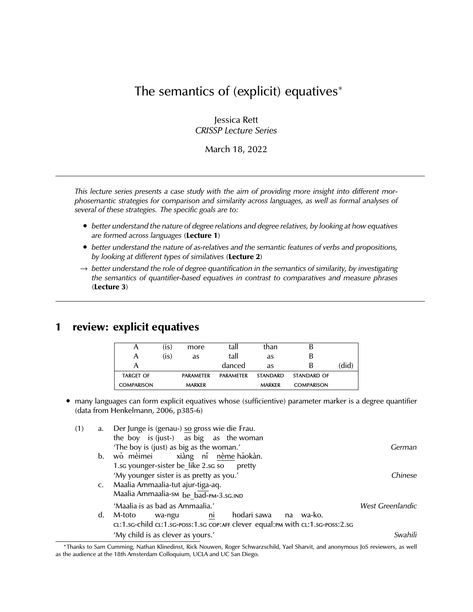# The semantics of (explicit) equatives<sup>∗</sup>

Jessica Rett *CRISSP Lecture Series*

March 18, 2022

*This lecture series presents a case study with the aim of providing more insight into different morphosemantic strategies for comparison and similarity across languages, as well as formal analyses of several of these strategies. The specific goals are to:*

- *better understand the nature of degree relations and degree relatives, by looking at how equatives are formed across languages* (**Lecture 1**)
- *better understand the nature of as-relatives and the semantic features of verbs and propositions, by looking at different types of similatives* (**Lecture 2**)
- → *better understand the role of degree quantification in the semantics of similarity, by investigating the semantics of quantifier-based equatives in contrast to comparatives and measure phrases* (**Lecture 3**)

## **1 review: explicit equatives**

| A                 | (is) | more             | tall             | than            |                   |      |
|-------------------|------|------------------|------------------|-----------------|-------------------|------|
| A                 | (is) | as               | tall             | as              | B                 |      |
| А                 |      |                  | danced           | as              | В                 | did) |
| <b>TARGET OF</b>  |      | <b>PARAMETER</b> | <b>PARAMETER</b> | <b>STANDARD</b> | STANDARD OF       |      |
| <b>COMPARISON</b> |      | <b>MARKER</b>    |                  | <b>MARKER</b>   | <b>COMPARISON</b> |      |

• many languages can form explicit equatives whose (sufficientive) parameter marker is a degree quantifier (data from Henkelmann, 2006, p385-6)

| (1) | a.             | Der Junge is (genau-) so gross wie die Frau.                                   |                  |
|-----|----------------|--------------------------------------------------------------------------------|------------------|
|     |                | the boy is (just-) as big as the woman                                         |                  |
|     |                | 'The boy is (just) as big as the woman.'                                       | German           |
|     | $\mathbf{b}$ . | wǒ mèimei xiàng ní nème hǎokàn.                                                |                  |
|     |                | 1.sc younger-sister be like 2.sc so<br>pretty                                  |                  |
|     |                | 'My younger sister is as pretty as you.'                                       | Chinese          |
|     | C.             | Maalia Ammaalia-tut ajur-tiga-aq.                                              |                  |
|     |                | Maalia Ammaalia-sm be bad-PM-3.sG.IND                                          |                  |
|     |                | 'Maalia is as bad as Ammaalia.'                                                | West Greenlandic |
|     | d.             | hodari sawa<br>ni<br>wa-ko.<br>M-toto<br>na<br>wa-ngu                          |                  |
|     |                | cl:1.sc-child cl:1.sc-poss:1.sc cop:AFF clever equal:PM with cl:1.sc-poss:2.sc |                  |
|     |                | 'My child is as clever as yours.'                                              | Swahili          |

<sup>∗</sup>Thanks to Sam Cumming, Nathan Klinedinst, Rick Nouwen, Roger Schwarzschild, Yael Sharvit, and anonymous JoS reviewers, as well as the audience at the 18th Amsterdam Colloquium, UCLA and UC San Diego.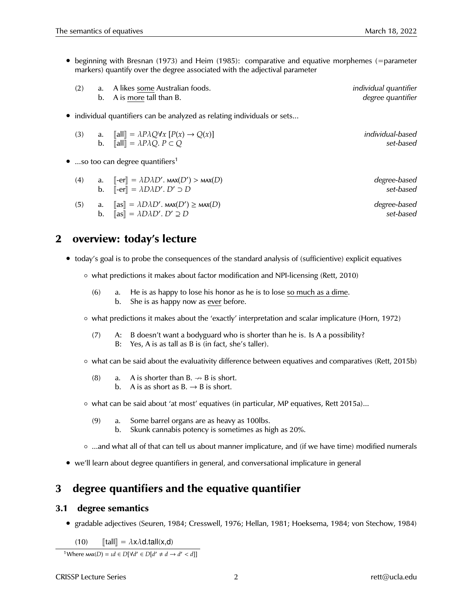• beginning with Bresnan (1973) and Heim (1985): comparative and equative morphemes (=parameter markers) quantify over the degree associated with the adjectival parameter

|  | (2) a. A likes some Australian foods. | individual quantifier |
|--|---------------------------------------|-----------------------|
|  | b. A is more tall than B.             | degree quantifier     |

• individual quantifiers can be analyzed as relating individuals or sets...

|  | (3) a. $\ \text{all}\  = \lambda P \lambda Q \forall x [P(x) \rightarrow Q(x)]$ | individual-based |
|--|---------------------------------------------------------------------------------|------------------|
|  | <b>b.</b> $\ \textbf{all}\  = \lambda P \lambda Q$ . $P \subset Q$              | set-based        |

• ...so too can degree quantifiers<sup>1</sup>

| (4) | a. $\left\  -er \right\  = \lambda D\lambda D'$ . MAX $(D')$ > MAX $(D)$<br>b. $\lbrack\!\lbrack -\text{er} \rbrack\!\rbrack = \lambda D \lambda D'$ . $D' \supset D$ | degree-based<br>set-based |
|-----|-----------------------------------------------------------------------------------------------------------------------------------------------------------------------|---------------------------|
| (5) | a. $\ \text{as}\  = \lambda D \lambda D'$ . $\text{max}(D') \ge \text{max}(D)$<br>b. $\ \text{as}\  = \lambda D \lambda D'. D' \supseteq D$                           | degree-based<br>set-based |

## **2 overview: today's lecture**

- today's goal is to probe the consequences of the standard analysis of (sufficientive) explicit equatives
	- what predictions it makes about factor modification and NPI-licensing (Rett, 2010)
		- (6) a. He is as happy to lose his honor as he is to lose so much as a dime. b. She is as happy now as ever before.
	- what predictions it makes about the 'exactly' interpretation and scalar implicature (Horn, 1972)
		- $(7)$  A: B doesn't want a bodyguard who is shorter than he is. Is A a possibility? B: Yes, A is as tall as B is (in fact, she's taller).
	- what can be said about the evaluativity difference between equatives and comparatives (Rett, 2015b)
		- (8) a. A is shorter than  $B \rightarrow B$  is short. b. A is as short as  $B \rightarrow B$  is short.
	- what can be said about 'at most' equatives (in particular, MP equatives, Rett 2015a)...
		- (9) a. Some barrel organs are as heavy as 100lbs.
			- b. Skunk cannabis potency is sometimes as high as 20%.
	- ...and what all of that can tell us about manner implicature, and (if we have time) modified numerals
- we'll learn about degree quantifiers in general, and conversational implicature in general

## **3 degree quantifiers and the equative quantifier**

## **3.1 degree semantics**

• gradable adjectives (Seuren, 1984; Cresswell, 1976; Hellan, 1981; Hoeksema, 1984; von Stechow, 1984)

(10)  $\llbracket \text{tall} \rrbracket = \lambda x \lambda \mathbf{d} \cdot \text{tall}(x, \mathbf{d})$ 

<sup>1</sup>Where  $\text{max}(D) = \iota d \in D[\forall d' \in D[d' \neq d \rightarrow d' < d]]$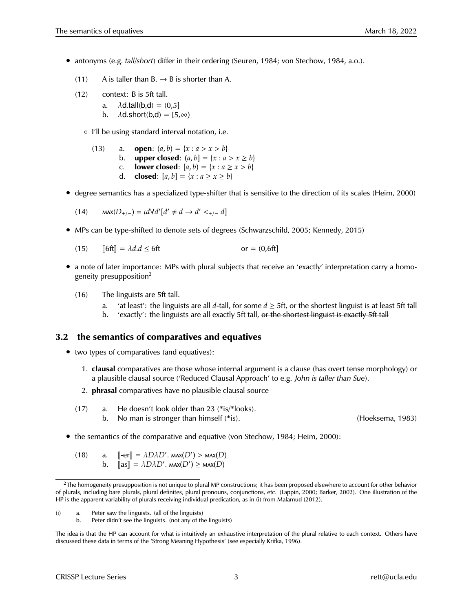- antonyms (e.g. *tall*/*short*) differ in their ordering (Seuren, 1984; von Stechow, 1984, a.o.).
	- (11) A is taller than  $B \rightarrow B$  is shorter than A.
	- (12) context: B is 5ft tall.
		- a.  $\lambda$ d.tall(b,d) = (0,5]
		- b.  $\lambda$ d.short(b,d) = [5, $\infty$ )
		- I'll be using standard interval notation, i.e.

(13) a. **open**:  $(a, b) = \{x : a > x > b\}$ b. **upper closed**:  $(a, b] = \{x : a > x \ge b\}$ c. **lower closed**:  $[a, b) = \{x : a \ge x > b\}$ d. **closed**:  $[a, b] = \{x : a \ge x \ge b\}$ 

• degree semantics has a specialized type-shifter that is sensitive to the direction of its scales (Heim, 2000)

(14) 
$$
\max(D_{+/-}) = \iota d \forall d' [d' \neq d \rightarrow d' <_{+/-} d]
$$

- MPs can be type-shifted to denote sets of degrees (Schwarzschild, 2005; Kennedy, 2015)
	- (15)  $\|6ft\| = \lambda d.d \le 6ft$  or = (0,6ft]
- a note of later importance: MPs with plural subjects that receive an 'exactly' interpretation carry a homogeneity presupposition<sup>2</sup>
	- (16) The linguists are 5ft tall.
		- a. 'at least': the linguists are all *d*-tall, for some *d* ≥ 5ft, or the shortest linguist is at least 5ft tall
		- b. 'exactly': the linguists are all exactly 5ft tall, or the shortest linguist is exactly 5ft tall

### **3.2 the semantics of comparatives and equatives**

- two types of comparatives (and equatives):
	- 1. **clausal** comparatives are those whose internal argument is a clause (has overt tense morphology) or a plausible clausal source ('Reduced Clausal Approach' to e.g. *John is taller than Sue*).
	- 2. **phrasal** comparatives have no plausible clausal source
	- (17) a. He doesn't look older than 23 (\*is/\*looks). b. No man is stronger than himself (\*is). (Hoeksema, 1983)

- the semantics of the comparative and equative (von Stechow, 1984; Heim, 2000):
	- (18) a.  $\left[\text{[-er]} \right] = \lambda D\lambda D'$ .  $\text{MAX}(D') > \text{MAX}(D)$ <br>b.  $\left[\text{[ge]} = \lambda D\lambda D'$ .  $\text{MAX}(D') > \text{MAX}(D)$ b.  $\[\mathsf{as}\] = \lambda D \lambda D'$ .  $\mathsf{max}(D') \geq \mathsf{max}(D)$

(i) a. Peter saw the linguists. (all of the linguists)

<sup>&</sup>lt;sup>2</sup>The homogeneity presupposition is not unique to plural MP constructions; it has been proposed elsewhere to account for other behavior of plurals, including bare plurals, plural definites, plural pronouns, conjunctions, etc. (Lappin, 2000; Barker, 2002). One illustration of the HP is the apparent variability of plurals receiving individual predication, as in (i) from Malamud (2012).

b. Peter didn't see the linguists. (not any of the linguists)

The idea is that the HP can account for what is intuitively an exhaustive interpretation of the plural relative to each context. Others have discussed these data in terms of the 'Strong Meaning Hypothesis' (see especially Krifka, 1996).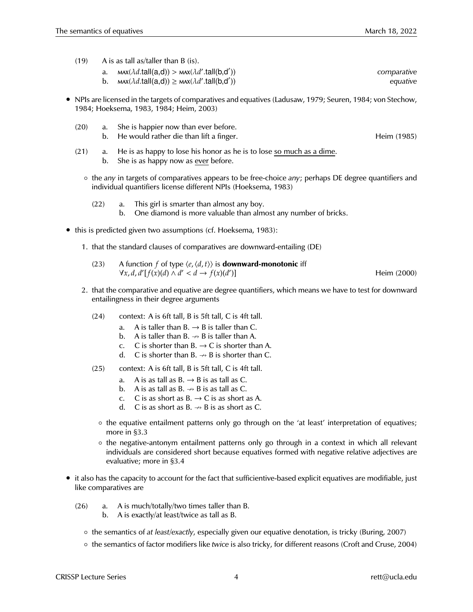(19) A is as tall as/taller than B (is).

| мах( $\lambda d.\mathsf{tall}(\mathsf{a},\mathsf{d})) >$ мах( $\lambda d'.\mathsf{tall}(\mathsf{b},\mathsf{d}'))$ | comparative |
|-------------------------------------------------------------------------------------------------------------------|-------------|
| b. $max(\lambda d.tall(a,d)) \ge max(\lambda d'.tall(b,d'))$                                                      | equative    |

- NPIs are licensed in the targets of comparatives and equatives (Ladusaw, 1979; Seuren, 1984; von Stechow, 1984; Hoeksema, 1983, 1984; Heim, 2003)
	- (20) a. She is happier now than ever before. b. He would rather die than lift a finger. He would rather die than lift a finger.
	- (21) a. He is as happy to lose his honor as he is to lose so much as a dime. b. She is as happy now as ever before.
		- the *any* in targets of comparatives appears to be free-choice *any*; perhaps DE degree quantifiers and individual quantifiers license different NPIs (Hoeksema, 1983)
			- (22) a. This girl is smarter than almost any boy. b. One diamond is more valuable than almost any number of bricks.
- this is predicted given two assumptions (cf. Hoeksema, 1983):
	- 1. that the standard clauses of comparatives are downward-entailing (DE)
		- (23) A function *f* of type  $\langle e, \langle d, t \rangle$  is **downward-monotonic** iff  $\forall x, d, d'$  [ $f(x)(d) \land d' < d \rightarrow f(x)(d')$ Heim (2000)
	- 2. that the comparative and equative are degree quantifiers, which means we have to test for downward entailingness in their degree arguments
		- (24) context: A is 6ft tall, B is 5ft tall, C is 4ft tall.
			- a. A is taller than  $B. \rightarrow B$  is taller than C.
			- b. A is taller than  $B \rightarrow B$  is taller than A.
			- c. C is shorter than  $B \rightarrow C$  is shorter than A.
			- d. C is shorter than B.  $\rightarrow$  B is shorter than C.
		- (25) context: A is 6ft tall, B is 5ft tall, C is 4ft tall.
			- a. A is as tall as  $B \rightarrow B$  is as tall as C.
			- b. A is as tall as  $B \rightarrow B$  is as tall as C.
			- c. C is as short as  $B \rightarrow C$  is as short as A.
			- d. C is as short as  $B \rightarrow B$  is as short as C.
			- the equative entailment patterns only go through on the 'at least' interpretation of equatives; more in §3.3
			- the negative-antonym entailment patterns only go through in a context in which all relevant individuals are considered short because equatives formed with negative relative adjectives are evaluative; more in §3.4
- it also has the capacity to account for the fact that sufficientive-based explicit equatives are modifiable, just like comparatives are
	- (26) a. A is much/totally/two times taller than B.
		- b. A is exactly/at least/twice as tall as B.
		- the semantics of *at least*/*exactly*, especially given our equative denotation, is tricky (Buring, 2007)
		- the semantics of factor modifiers like *twice* is also tricky, for different reasons (Croft and Cruse, 2004)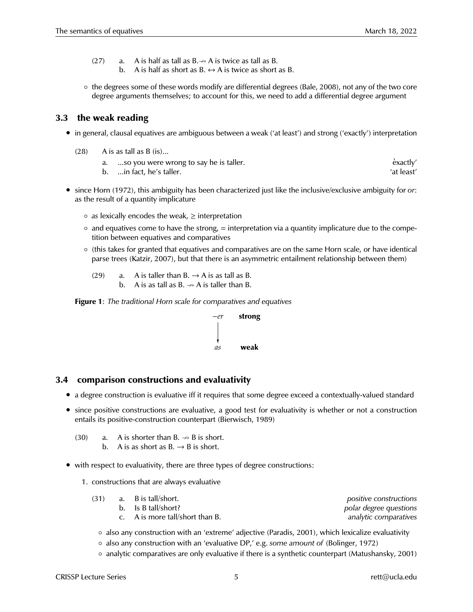- (27) a. A is half as tall as  $B \rightarrow AB$  is twice as tall as B.
	- b. A is half as short as  $B \leftrightarrow A$  is twice as short as B.
- the degrees some of these words modify are differential degrees (Bale, 2008), not any of the two core degree arguments themselves; to account for this, we need to add a differential degree argument

### **3.3 the weak reading**

- in general, clausal equatives are ambiguous between a weak ('at least') and strong ('exactly') interpretation
	- $(28)$  A is as tall as B  $(is)$ ...
		- a.  $\ldots$  so you were wrong to say he is taller.
		- b. ...in fact, he's taller.  $\blacksquare$

• since Horn (1972), this ambiguity has been characterized just like the inclusive/exclusive ambiguity for *or*: as the result of a quantity implicature

- *as* lexically encodes the weak, ≥ interpretation
- $\circ$  and equatives come to have the strong, = interpretation via a quantity implicature due to the competition between equatives and comparatives
- (this takes for granted that equatives and comparatives are on the same Horn scale, or have identical parse trees (Katzir, 2007), but that there is an asymmetric entailment relationship between them)
	- (29) a. A is taller than  $B \rightarrow A$  is as tall as B. b. A is as tall as  $B \rightarrow AB$  is taller than B.

**Figure 1**: *The traditional Horn scale for comparatives and equatives*



### **3.4 comparison constructions and evaluativity**

- a degree construction is evaluative iff it requires that some degree exceed a contextually-valued standard
- since positive constructions are evaluative, a good test for evaluativity is whether or not a construction entails its positive-construction counterpart (Bierwisch, 1989)
	- (30) a. A is shorter than  $B \rightarrow B$  is short.
		- b. A is as short as  $B \rightarrow B$  is short.
- with respect to evaluativity, there are three types of degree constructions:
	- 1. constructions that are always evaluative

| (31) | a. B is tall/short.             | positive constructions |
|------|---------------------------------|------------------------|
|      | b. Is B tall/short?             | polar degree questions |
|      | c. A is more tall/short than B. | analytic comparatives  |

◦ also any construction with an 'extreme' adjective (Paradis, 2001), which lexicalize evaluativity

- also any construction with an 'evaluative DP,' e.g. *some amount of* (Bolinger, 1972)
- analytic comparatives are only evaluative if there is a synthetic counterpart (Matushansky, 2001)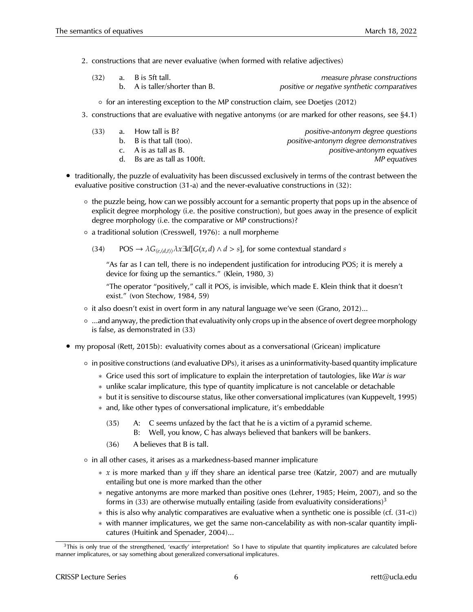2. constructions that are never evaluative (when formed with relative adjectives)

| (32) | a. B is 5ft tall.              | measure phrase constructions                |
|------|--------------------------------|---------------------------------------------|
|      | b. A is taller/shorter than B. | positive or negative synthetic comparatives |

- for an interesting exception to the MP construction claim, see Doetjes (2012)
- 3. constructions that are evaluative with negative antonyms (or are marked for other reasons, see §4.1)

| (33)<br>a. How tall is B?             | positive-antonym degree questions      |
|---------------------------------------|----------------------------------------|
| b. $\overline{B}$ is that tall (too). | positive-antonym degree demonstratives |
| c. A is as tall as B.                 | positive-antonym equatives             |
| d. Bs are as tall as 100ft.           | MP equatives                           |
|                                       |                                        |

- traditionally, the puzzle of evaluativity has been discussed exclusively in terms of the contrast between the evaluative positive construction (31-a) and the never-evaluative constructions in (32):
	- the puzzle being, how can we possibly account for a semantic property that pops up in the absence of explicit degree morphology (i.e. the positive construction), but goes away in the presence of explicit degree morphology (i.e. the comparative or MP constructions)?
	- a traditional solution (Cresswell, 1976): a null morpheme
		- (34) POS  $\rightarrow \lambda G_{(e,(d,t))}\lambda x \exists d[G(x,d) \wedge d > s]$ , for some contextual standard *s*

"As far as I can tell, there is no independent justification for introducing POS; it is merely a device for fixing up the semantics." (Klein, 1980, 3)

"The operator "positively," call it POS, is invisible, which made E. Klein think that it doesn't exist." (von Stechow, 1984, 59)

- it also doesn't exist in overt form in any natural language we've seen (Grano, 2012)...
- ...and anyway, the prediction that evaluativity only crops up in the absence of overt degree morphology is false, as demonstrated in (33)
- my proposal (Rett, 2015b): evaluativity comes about as a conversational (Gricean) implicature
	- in positive constructions (and evaluative DPs), it arises as a uninformativity-based quantity implicature
		- ∗ Grice used this sort of implicature to explain the interpretation of tautologies, like *War is war*
		- ∗ unlike scalar implicature, this type of quantity implicature is not cancelable or detachable
		- ∗ but it is sensitive to discourse status, like other conversational implicatures (van Kuppevelt, 1995)
		- ∗ and, like other types of conversational implicature, it's embeddable
			- (35) A: C seems unfazed by the fact that he is a victim of a pyramid scheme. B: Well, you know, C has always believed that bankers will be bankers.
			- (36) A believes that B is tall.
	- in all other cases, it arises as a markedness-based manner implicature
		- ∗ *x* is more marked than *y* iff they share an identical parse tree (Katzir, 2007) and are mutually entailing but one is more marked than the other
		- ∗ negative antonyms are more marked than positive ones (Lehrer, 1985; Heim, 2007), and so the forms in (33) are otherwise mutually entailing (aside from evaluativity considerations)<sup>3</sup>
		- ∗ this is also why analytic comparatives are evaluative when a synthetic one is possible (cf. (31-c))
		- ∗ with manner implicatures, we get the same non-cancelability as with non-scalar quantity implicatures (Huitink and Spenader, 2004)...

 $3$ This is only true of the strengthened, 'exactly' interpretation! So I have to stipulate that quantity implicatures are calculated before manner implicatures, or say something about generalized conversational implicatures.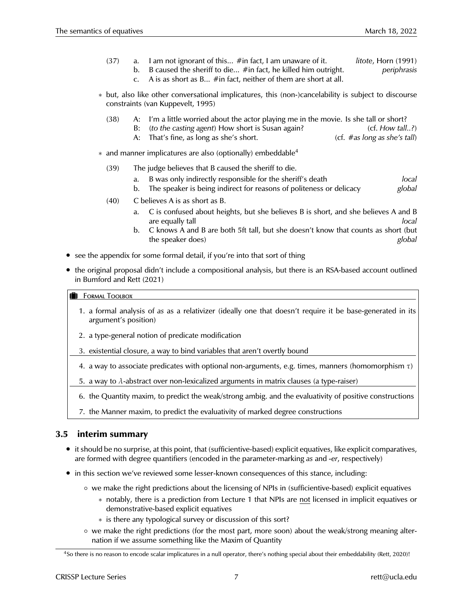- (37) a. I am not ignorant of this... #in fact, I am unaware of it. *litote*, Horn (1991)
	- b. B caused the sheriff to die... #in fact, he killed him outright. *periphrasis*
	- c. A is as short as B... #in fact, neither of them are short at all.
- ∗ but, also like other conversational implicatures, this (non-)cancelability is subject to discourse constraints (van Kuppevelt, 1995)
	- (38) A: I'm a little worried about the actor playing me in the movie. Is she tall or short?
		- B: *(to the casting agent)* How short is Susan again? (cf. *How tall..?*)
		- A: That's fine, as long as she's short. (cf. #as long as she's tall)
- ∗ and manner implicatures are also (optionally) embeddable<sup>4</sup>
	- (39) The judge believes that B caused the sheriff to die.
		- a. B was only indirectly responsible for the sheriff's death *local*
		- b. The speaker is being indirect for reasons of politeness or delicacy *global*
	- (40) C believes A is as short as B.
		- a. C is confused about heights, but she believes B is short, and she believes A and B are equally tall *local*
		- b. C knows A and B are both 5ft tall, but she doesn't know that counts as short (but the speaker does) *global*
- see the appendix for some formal detail, if you're into that sort of thing
- the original proposal didn't include a compositional analysis, but there is an RSA-based account outlined in Bumford and Rett (2021)

#### **FORMAL TOOLBOX**

- 1. a formal analysis of *as* as a relativizer (ideally one that doesn't require it be base-generated in its argument's position)
- 2. a type-general notion of predicate modification
- 3. existential closure, a way to bind variables that aren't overtly bound
- 4. a way to associate predicates with optional non-arguments, e.g. times, manners (homomorphism  $\tau$ )
- 5. a way to  $\lambda$ -abstract over non-lexicalized arguments in matrix clauses (a type-raiser)
- 6. the Quantity maxim, to predict the weak/strong ambig. and the evaluativity of positive constructions
- 7. the Manner maxim, to predict the evaluativity of marked degree constructions

### **3.5 interim summary**

- it should be no surprise, at this point, that (sufficientive-based) explicit equatives, like explicit comparatives, are formed with degree quantifiers (encoded in the parameter-marking *as* and *-er*, respectively)
- in this section we've reviewed some lesser-known consequences of this stance, including:
	- we make the right predictions about the licensing of NPIs in (sufficientive-based) explicit equatives
		- ∗ notably, there is a prediction from Lecture 1 that NPIs are not licensed in implicit equatives or demonstrative-based explicit equatives
		- ∗ is there any typological survey or discussion of this sort?
	- we make the right predictions (for the most part, more soon) about the weak/strong meaning alternation if we assume something like the Maxim of Quantity

<sup>4</sup>So there is no reason to encode scalar implicatures in a null operator, there's nothing special about their embeddability (Rett, 2020)!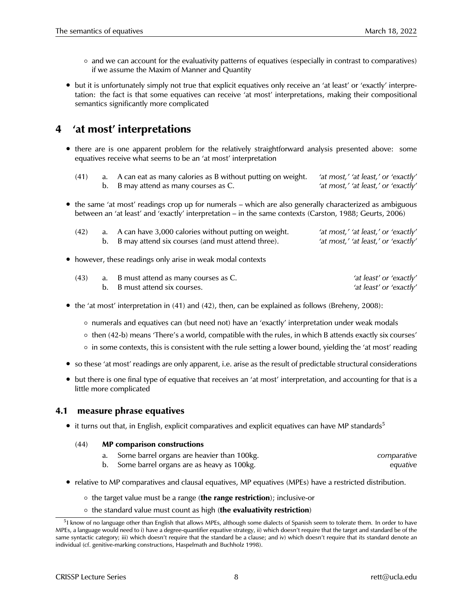- and we can account for the evaluativity patterns of equatives (especially in contrast to comparatives) if we assume the Maxim of Manner and Quantity
- but it is unfortunately simply not true that explicit equatives only receive an 'at least' or 'exactly' interpretation: the fact is that some equatives can receive 'at most' interpretations, making their compositional semantics significantly more complicated

## **4 'at most' interpretations**

- there are is one apparent problem for the relatively straightforward analysis presented above: some equatives receive what seems to be an 'at most' interpretation
	- (41) a. A can eat as many calories as B without putting on weight. *'at most,' 'at least,' or 'exactly'* b. B may attend as many courses as C. *'at most,' 'at least,' or 'exactly'*
- the same 'at most' readings crop up for numerals which are also generally characterized as ambiguous between an 'at least' and 'exactly' interpretation – in the same contexts (Carston, 1988; Geurts, 2006)

| (42) | a. A can have 3,000 calories without putting on weight. | 'at most,' 'at least,' or 'exactly' |
|------|---------------------------------------------------------|-------------------------------------|
|      | b. B may attend six courses (and must attend three).    | 'at most,' 'at least,' or 'exactly' |

• however, these readings only arise in weak modal contexts

| (43) | a. B must attend as many courses as C. | 'at least' or 'exactly' |
|------|----------------------------------------|-------------------------|
|      | b. B must attend six courses.          | 'at least' or 'exactly' |

- the 'at most' interpretation in (41) and (42), then, can be explained as follows (Breheny, 2008):
	- numerals and equatives can (but need not) have an 'exactly' interpretation under weak modals
	- then (42-b) means 'There's a world, compatible with the rules, in which B attends exactly six courses'
	- in some contexts, this is consistent with the rule setting a lower bound, yielding the 'at most' reading
- so these 'at most' readings are only apparent, i.e. arise as the result of predictable structural considerations
- but there is one final type of equative that receives an 'at most' interpretation, and accounting for that is a little more complicated

## **4.1 measure phrase equatives**

• it turns out that, in English, explicit comparatives and explicit equatives can have MP standards<sup>5</sup>

### (44) **MP comparison constructions**

- a. Some barrel organs are heavier than 100kg. *comparative*
- b. Some barrel organs are as heavy as 100kg. *equative*
- relative to MP comparatives and clausal equatives, MP equatives (MPEs) have a restricted distribution.
	- the target value must be a range (**the range restriction**); inclusive-or
	- the standard value must count as high (**the evaluativity restriction**)

<sup>&</sup>lt;sup>5</sup>I know of no language other than English that allows MPEs, although some dialects of Spanish seem to tolerate them. In order to have MPEs, a language would need to i) have a degree-quantifier equative strategy, ii) which doesn't require that the target and standard be of the same syntactic category; iii) which doesn't require that the standard be a clause; and iv) which doesn't require that its standard denote an individual (cf. genitive-marking constructions, Haspelmath and Buchholz 1998).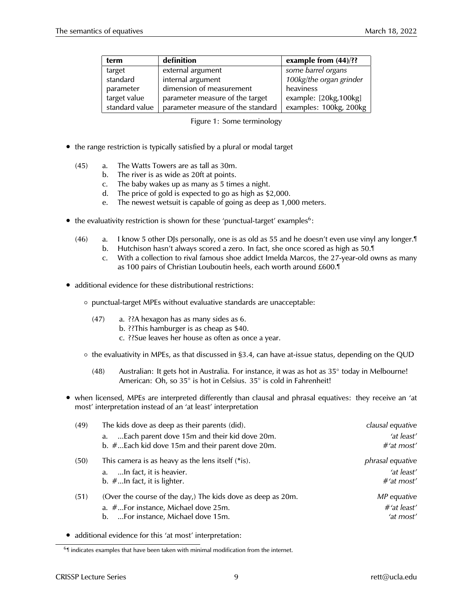| term           | definition                        | example from $(44)/$ ?? |
|----------------|-----------------------------------|-------------------------|
| target         | external argument                 | some barrel organs      |
| standard       | internal argument                 | 100kg/the organ grinder |
| parameter      | dimension of measurement          | heaviness               |
| target value   | parameter measure of the target   | example: [20kg,100kg]   |
| standard value | parameter measure of the standard | examples: 100kg, 200kg  |

| Figure 1: Some terminology |  |  |  |
|----------------------------|--|--|--|
|----------------------------|--|--|--|

- the range restriction is typically satisfied by a plural or modal target
	- (45) a. The Watts Towers are as tall as 30m.
		- b. The river is as wide as 20ft at points.
		- c. The baby wakes up as many as 5 times a night.
		- d. The price of gold is expected to go as high as \$2,000.
		- e. The newest wetsuit is capable of going as deep as 1,000 meters.
- the evaluativity restriction is shown for these 'punctual-target' examples<sup>6</sup>:
	- (46) a. I know 5 other DJs personally, one is as old as 55 and he doesn't even use vinyl any longer.¶ b. Hutchison hasn't always scored a zero. In fact, she once scored as high as 50.¶
		- c. With a collection to rival famous shoe addict Imelda Marcos, the 27-year-old owns as many as 100 pairs of Christian Louboutin heels, each worth around £600.¶
- additional evidence for these distributional restrictions:
	- punctual-target MPEs without evaluative standards are unacceptable:
		- (47) a. ??A hexagon has as many sides as 6.
			- b. ??This hamburger is as cheap as \$40.
				- c. ??Sue leaves her house as often as once a year.
	- the evaluativity in MPEs, as that discussed in §3.4, can have at-issue status, depending on the QUD
		- (48) Australian: It gets hot in Australia. For instance, it was as hot as 35° today in Melbourne! American: Oh, so 35° is hot in Celsius. 35° is cold in Fahrenheit!
- when licensed, MPEs are interpreted differently than clausal and phrasal equatives: they receive an 'at most' interpretation instead of an 'at least' interpretation

| (49) | The kids dove as deep as their parents (did).               | clausal equative        |
|------|-------------------------------------------------------------|-------------------------|
|      | Each parent dove 15m and their kid dove 20m.<br>a.          | 'at least'              |
|      | b. #Each kid dove 15m and their parent dove 20m.            | #'at most'              |
| (50) | This camera is as heavy as the lens itself (*is).           | <i>phrasal equative</i> |
|      | a. In fact, it is heavier.                                  | 'at least'              |
|      | b. $#$ In fact, it is lighter.                              | $#$ 'at most'           |
| (51) | (Over the course of the day,) The kids dove as deep as 20m. | MP equative             |
|      | a. #For instance, Michael dove 25m.                         | $#$ 'at least'          |
|      | b. For instance, Michael dove 15m.                          | 'at most'               |

• additional evidence for this 'at most' interpretation:

<sup>&</sup>lt;sup>6</sup> I indicates examples that have been taken with minimal modification from the internet.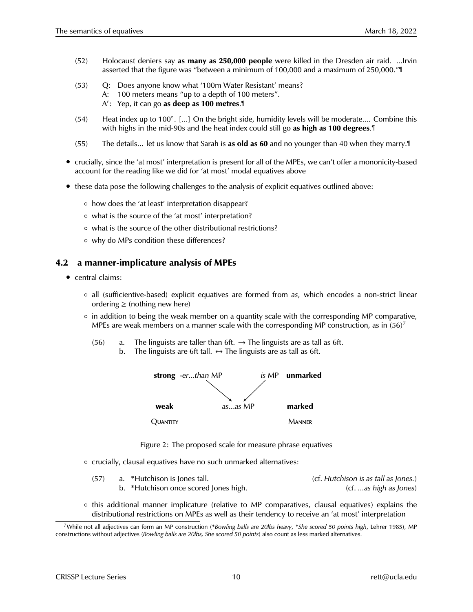- (52) Holocaust deniers say **as many as 250,000 people** were killed in the Dresden air raid. ...Irvin asserted that the figure was "between a minimum of 100,000 and a maximum of 250,000."¶
- (53) Q: Does anyone know what '100m Water Resistant' means? A: 100 meters means "up to a depth of 100 meters". A 0 : Yep, it can go **as deep as 100 metres**.¶
- (54) Heat index up to 100◦ . [...] On the bright side, humidity levels will be moderate.... Combine this with highs in the mid-90s and the heat index could still go **as high as 100 degrees**.¶
- (55) The details... let us know that Sarah is **as old as 60** and no younger than 40 when they marry.¶
- crucially, since the 'at most' interpretation is present for all of the MPEs, we can't offer a mononicity-based account for the reading like we did for 'at most' modal equatives above
- these data pose the following challenges to the analysis of explicit equatives outlined above:
	- how does the 'at least' interpretation disappear?
	- what is the source of the 'at most' interpretation?
	- what is the source of the other distributional restrictions?
	- why do MPs condition these differences?

### **4.2 a manner-implicature analysis of MPEs**

- central claims:
	- all (sufficientive-based) explicit equatives are formed from *as*, which encodes a non-strict linear ordering  $\geq$  (nothing new here)
	- in addition to being the weak member on a quantity scale with the corresponding MP comparative, MPEs are weak members on a manner scale with the corresponding MP construction, as in  $(56)^7$ 
		- $(56)$  a. The linguists are taller than 6ft.  $\rightarrow$  The linguists are as tall as 6ft.
			- b. The linguists are 6ft tall.  $\leftrightarrow$  The linguists are as tall as 6ft.



Figure 2: The proposed scale for measure phrase equatives

◦ crucially, clausal equatives have no such unmarked alternatives:

| (57) | a. *Hutchison is Jones tall.          | (cf. Hutchison is as tall as Jones.) |
|------|---------------------------------------|--------------------------------------|
|      | b. *Hutchison once scored Jones high. | (cf. as high as Jones)               |

◦ this additional manner implicature (relative to MP comparatives, clausal equatives) explains the distributional restrictions on MPEs as well as their tendency to receive an 'at most' interpretation

<sup>7</sup>While not all adjectives can form an MP construction (\**Bowling balls are 20lbs heavy*, \**She scored 50 points high*, Lehrer 1985), MP constructions without adjectives (*Bowling balls are 20lbs, She scored 50 points*) also count as less marked alternatives.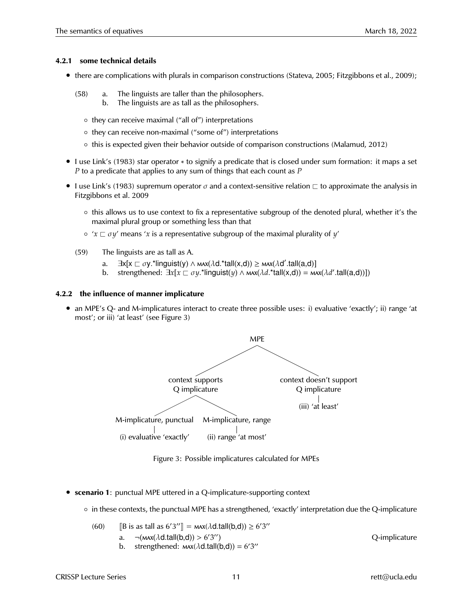#### **4.2.1 some technical details**

- there are complications with plurals in comparison constructions (Stateva, 2005; Fitzgibbons et al., 2009);
	- (58) a. The linguists are taller than the philosophers.
		- b. The linguists are as tall as the philosophers.
		- they can receive maximal ("all of") interpretations
		- they can receive non-maximal ("some of") interpretations
		- this is expected given their behavior outside of comparison constructions (Malamud, 2012)
- I use Link's (1983) star operator ∗ to signify a predicate that is closed under sum formation: it maps a set *P* to a predicate that applies to any sum of things that each count as *P*
- I use Link's (1983) supremum operator  $\sigma$  and a context-sensitive relation  $\Box$  to approximate the analysis in Fitzgibbons et al. 2009
	- this allows us to use context to fix a representative subgroup of the denoted plural, whether it's the maximal plural group or something less than that
	- $\circ$  ' $x \sqsubset \sigma y'$  means 'x is a representative subgroup of the maximal plurality of y'
	- (59) The linguists are as tall as A.
		- a.  $\exists$ x[x  $\sqsubset$  σy.\*linguist(y) ∧ мѧх( $\lambda$ d.\*tall(x,d)) ≥ мѧх( $\lambda$ d'.tall(a,d)]
		- b. strengthened:  $\exists x [x \sqsubset \sigma y$ .\*linguist(*y*)  $\land$   $\forall$   $\forall x (\lambda d$ .\*tall(x,d)) =  $\forall x (\lambda d'$ .tall(a,d))])

#### **4.2.2 the influence of manner implicature**

• an MPE's Q- and M-implicatures interact to create three possible uses: i) evaluative 'exactly'; ii) range 'at most'; or iii) 'at least' (see Figure 3)



Figure 3: Possible implicatures calculated for MPEs

- **scenario 1**: punctual MPE uttered in a Q-implicature-supporting context
	- in these contexts, the punctual MPE has a strengthened, 'exactly' interpretation due the Q-implicature

(60) [B is as tall as  $6'3''$ ] =  $\text{max}(\lambda \text{d.tall}(b,d)) \ge 6'3''$ a.  $\neg$ ( $\text{max}(\lambda \text{d.tall}(\text{b},\text{d})) > 6'3$ Q-implicature b. strengthened:  $\text{max}(\lambda \text{d}.\text{tall}(\text{b},\text{d})) = 6'3''$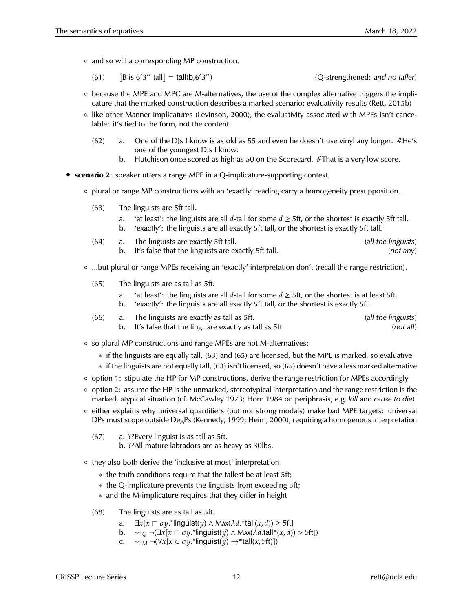◦ and so will a corresponding MP construction.

(61) 
$$
[B \text{ is } 6'3'' \text{ tall}] = \text{tall}(b, 6'3'')
$$
 (Q-strengthened: and no taller)

- because the MPE and MPC are M-alternatives, the use of the complex alternative triggers the implicature that the marked construction describes a marked scenario; evaluativity results (Rett, 2015b)
- like other Manner implicatures (Levinson, 2000), the evaluativity associated with MPEs isn't cancelable: it's tied to the form, not the content
	- $(62)$  a. One of the DJs I know is as old as 55 and even he doesn't use vinyl any longer. #He's one of the youngest DJs I know.
		- b. Hutchison once scored as high as 50 on the Scorecard. #That is a very low score.
- **scenario 2**: speaker utters a range MPE in a Q-implicature-supporting context
	- plural or range MP constructions with an 'exactly' reading carry a homogeneity presupposition...
		- (63) The linguists are 5ft tall.
			- a. 'at least': the linguists are all *d*-tall for some  $d \geq 5$ ft, or the shortest is exactly 5ft tall. b. 'exactly': the linguists are all exactly 5ft tall, or the shortest is exactly 5ft tall.
		- (64) a. The linguists are exactly 5ft tall. *(all the linguists)* b. It's false that the linguists are exactly 5ft tall. *(not any)*
	- ...but plural or range MPEs receiving an 'exactly' interpretation don't (recall the range restriction).
		- (65) The linguists are as tall as 5ft.
			- a. 'at least': the linguists are all *d*-tall for some  $d \geq 5$ ft, or the shortest is at least 5ft.
			- b. 'exactly': the linguists are all exactly 5ft tall, or the shortest is exactly 5ft.
		- (66) a. The linguists are exactly as tall as 5ft. *(all the linguists)* b. It's false that the ling. are exactly as tall as 5ft. *(not all)*
	- so plural MP constructions and range MPEs are not M-alternatives:
		- ∗ if the linguists are equally tall, (63) and (65) are licensed, but the MPE is marked, so evaluative
		- ∗ if the linguists are not equally tall, (63) isn't licensed, so (65) doesn't have a less marked alternative
	- option 1: stipulate the HP for MP constructions, derive the range restriction for MPEs accordingly
	- option 2: assume the HP is the unmarked, stereotypical interpretation and the range restriction is the marked, atypical situation (cf. McCawley 1973; Horn 1984 on periphrasis, e.g. *kill* and *cause to die*)
	- either explains why universal quantifiers (but not strong modals) make bad MPE targets: universal DPs must scope outside DegPs (Kennedy, 1999; Heim, 2000), requiring a homogenous interpretation
		- (67) a. ??Every linguist is as tall as 5ft.
			- b. ??All mature labradors are as heavy as 30lbs.
	- they also both derive the 'inclusive at most' interpretation
		- ∗ the truth conditions require that the tallest be at least 5ft;
		- ∗ the Q-implicature prevents the linguists from exceeding 5ft;
		- ∗ and the M-implicature requires that they differ in height
		- (68) The linguists are as tall as 5ft.
			- a.  $\exists x[x \sqsubset \sigma y$ .\*linguist(*y*)  $\land$  Max( $\lambda d$ .\*tall(*x*, *d*))  $\geq$  5ft]
			- b.  $\sim$ <sub>2</sub>  $\neg$   $(\exists x[x \sqsubset \sigma y.*$ linguist(*y*)  $\land$  Max( $\lambda d.tall*(x, d)) > 5ft$ ])
			- c.  $\sim_M \neg(\forall x[x \subset \sigma y.*$ linguist(*y*)  $\rightarrow$ \*tall(*x*, 5ft)])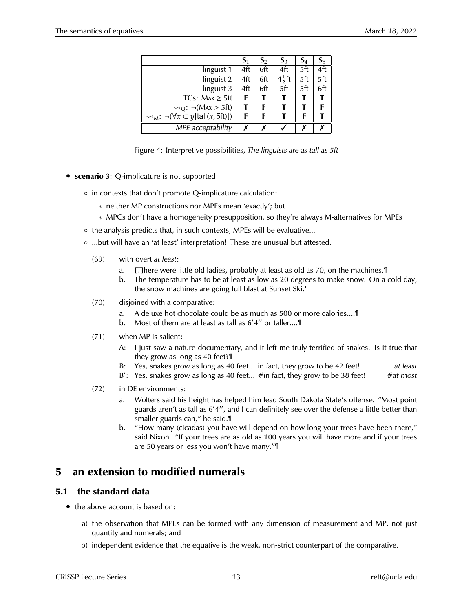|                                                                  | $S_1$ | $S_2$ | $S_3$             | $\mathbf{S}_4$ | $S_5$ |
|------------------------------------------------------------------|-------|-------|-------------------|----------------|-------|
| linguist 1                                                       | 4ft   | 6ft   | 4ft               | 5ft            | 4ft   |
| linguist 2                                                       | 4ft   | 6ft   | $4\frac{1}{2}$ ft | 5ft            | 5ft   |
| linguist 3                                                       | 4ft   | 6ft   | 5 <sup>T</sup>    | 5ft            | 6ft   |
| TCs: $Max \geq 5$ ft                                             | F     | Т     |                   |                | т     |
| $\rightsquigarrow_{\text{O}}$ : $\neg$ (Max > 5ft)               | т     | F     |                   |                | F     |
| $\rightsquigarrow_M$ : $\neg(\forall x \subset y[tall(x, 5ft)])$ | F     | F     |                   | F              |       |
| MPE acceptability                                                | x     | x     |                   |                |       |

Figure 4: Interpretive possibilities, *The linguists are as tall as 5ft*

- **scenario 3**: Q-implicature is not supported
	- in contexts that don't promote Q-implicature calculation:
		- ∗ neither MP constructions nor MPEs mean 'exactly'; but
		- ∗ MPCs don't have a homogeneity presupposition, so they're always M-alternatives for MPEs
	- the analysis predicts that, in such contexts, MPEs will be evaluative...
	- ...but will have an 'at least' interpretation! These are unusual but attested.
		- (69) with overt *at least*:
			- a. [T]here were little old ladies, probably at least as old as 70, on the machines.¶
			- b. The temperature has to be at least as low as 20 degrees to make snow. On a cold day, the snow machines are going full blast at Sunset Ski.¶
		- (70) disjoined with a comparative:
			- a. A deluxe hot chocolate could be as much as 500 or more calories....¶
			- b. Most of them are at least as tall as 6'4" or taller....
		- (71) when MP is salient:
			- A: I just saw a nature documentary, and it left me truly terrified of snakes. Is it true that they grow as long as 40 feet?¶
			- B: Yes, snakes grow as long as 40 feet... in fact, they grow to be 42 feet! *at least*
			- B': Yes, snakes grow as long as 40 feet... #in fact, they grow to be 38 feet! #at most
		- (72) in DE environments:
			- a. Wolters said his height has helped him lead South Dakota State's offense. "Most point guards aren't as tall as 6'4", and I can definitely see over the defense a little better than smaller guards can," he said.¶
			- b. "How many (cicadas) you have will depend on how long your trees have been there," said Nixon. "If your trees are as old as 100 years you will have more and if your trees are 50 years or less you won't have many."¶

## **5 an extension to modified numerals**

## **5.1 the standard data**

- the above account is based on:
	- a) the observation that MPEs can be formed with any dimension of measurement and MP, not just quantity and numerals; and
	- b) independent evidence that the equative is the weak, non-strict counterpart of the comparative.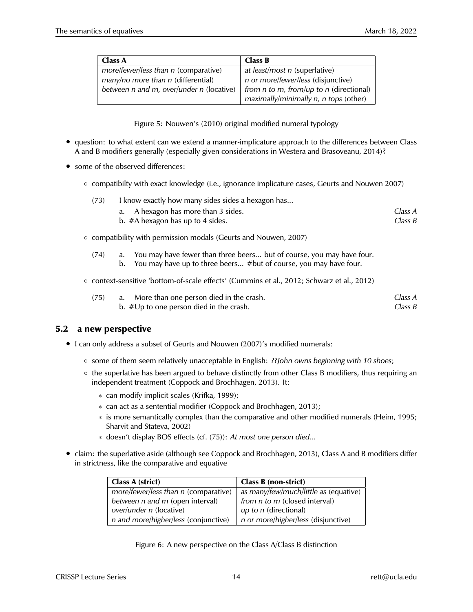| <b>Class A</b>                           | Class B                                          |
|------------------------------------------|--------------------------------------------------|
| more/fewer/less than n (comparative)     | at least/most n (superlative)                    |
| $many/no$ more than n (differential)     | <i>n</i> or <i>more/fewer/less</i> (disjunctive) |
| between n and m, over/under n (locative) | from n to m, from/up to n (directional)          |
|                                          | maximally/minimally n, n tops (other)            |

Figure 5: Nouwen's (2010) original modified numeral typology

- question: to what extent can we extend a manner-implicature approach to the differences between Class A and B modifiers generally (especially given considerations in Westera and Brasoveanu, 2014)?
- some of the observed differences:
	- compatibilty with exact knowledge (i.e., ignorance implicature cases, Geurts and Nouwen 2007)

| (73) | I know exactly how many sides sides a hexagon has |  |  |  |
|------|---------------------------------------------------|--|--|--|
|      |                                                   |  |  |  |

- a. A hexagon has more than 3 sides. *Class A* b. #A hexagon has up to 4 sides. *Class B*
- compatibility with permission modals (Geurts and Nouwen, 2007)
	- (74) a. You may have fewer than three beers... but of course, you may have four. b. You may have up to three beers... #but of course, you may have four.
- context-sensitive 'bottom-of-scale effects' (Cummins et al., 2012; Schwarz et al., 2012)

| (75) | a. More than one person died in the crash.        | Class A |
|------|---------------------------------------------------|---------|
|      | b. $\#\bigcup p$ to one person died in the crash. | Class B |

## **5.2 a new perspective**

- I can only address a subset of Geurts and Nouwen (2007)'s modified numerals:
	- some of them seem relatively unacceptable in English: *??John owns beginning with 10 shoes*;
	- the superlative has been argued to behave distinctly from other Class B modifiers, thus requiring an independent treatment (Coppock and Brochhagen, 2013). It:
		- ∗ can modify implicit scales (Krifka, 1999);
		- ∗ can act as a sentential modifier (Coppock and Brochhagen, 2013);
		- ∗ is more semantically complex than the comparative and other modified numerals (Heim, 1995; Sharvit and Stateva, 2002)
		- ∗ doesn't display BOS effects (cf. (75)): *At most one person died...*
- claim: the superlative aside (although see Coppock and Brochhagen, 2013), Class A and B modifiers differ in strictness, like the comparative and equative

| Class A (strict)                     | Class B (non-strict)                  |
|--------------------------------------|---------------------------------------|
| more/fewer/less than n (comparative) | as many/few/much/little as (equative) |
| between n and m (open interval)      | from n to m (closed interval)         |
| over/under n (locative)              | up to n (directional)                 |
| n and more/higher/less (conjunctive) | n or more/higher/less (disjunctive)   |

Figure 6: A new perspective on the Class A/Class B distinction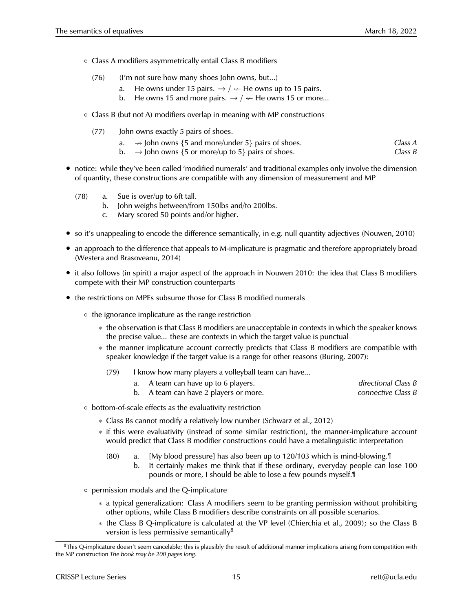- Class A modifiers asymmetrically entail Class B modifiers
	- (76) (I'm not sure how many shoes John owns, but...)
		- a. He owns under 15 pairs.  $\rightarrow$  /  $\nrightarrow$  He owns up to 15 pairs.
		- b. He owns 15 and more pairs.  $\rightarrow$  /  $\leftarrow$  He owns 15 or more...
- Class B (but not A) modifiers overlap in meaning with MP constructions
	- (77) John owns exactly 5 pairs of shoes.
		- a.  $\rightarrow$  John owns {5 and more/under 5} pairs of shoes. *Class A*
		- b.  $\rightarrow$  John owns {5 or more/up to 5} pairs of shoes.  $\rightarrow$  *Class B*
- notice: while they've been called 'modified numerals' and traditional examples only involve the dimension of quantity, these constructions are compatible with any dimension of measurement and MP
	- (78) a. Sue is over/up to 6ft tall.
		- b. John weighs between/from 150lbs and/to 200lbs.
		- c. Mary scored 50 points and/or higher.
- so it's unappealing to encode the difference semantically, in e.g. null quantity adjectives (Nouwen, 2010)
- an approach to the difference that appeals to M-implicature is pragmatic and therefore appropriately broad (Westera and Brasoveanu, 2014)
- it also follows (in spirit) a major aspect of the approach in Nouwen 2010: the idea that Class B modifiers compete with their MP construction counterparts
- the restrictions on MPEs subsume those for Class B modified numerals
	- the ignorance implicature as the range restriction
		- ∗ the observation is that Class B modifiers are unacceptable in contexts in which the speaker knows the precise value... these are contexts in which the target value is punctual
		- ∗ the manner implicature account correctly predicts that Class B modifiers are compatible with speaker knowledge if the target value is a range for other reasons (Buring, 2007):
			- (79) I know how many players a volleyball team can have...
				- a. A team can have up to 6 players. *directional Class B*
				- b. A team can have 2 players or more. *connective Class B*
	- bottom-of-scale effects as the evaluativity restriction
		- ∗ Class Bs cannot modify a relatively low number (Schwarz et al., 2012)
		- ∗ if this were evaluativity (instead of some similar restriction), the manner-implicature account would predict that Class B modifier constructions could have a metalinguistic interpretation
			- (80) a. [My blood pressure] has also been up to 120/103 which is mind-blowing.¶
				- b. It certainly makes me think that if these ordinary, everyday people can lose 100 pounds or more, I should be able to lose a few pounds myself.¶
	- permission modals and the Q-implicature
		- ∗ a typical generalization: Class A modifiers seem to be granting permission without prohibiting other options, while Class B modifiers describe constraints on all possible scenarios.
		- ∗ the Class B Q-implicature is calculated at the VP level (Chierchia et al., 2009); so the Class B version is less permissive semantically $8$

 $8$ This Q-implicature doesn't seem cancelable; this is plausibly the result of additional manner implications arising from competition with the MP construction *The book may be 200 pages long*.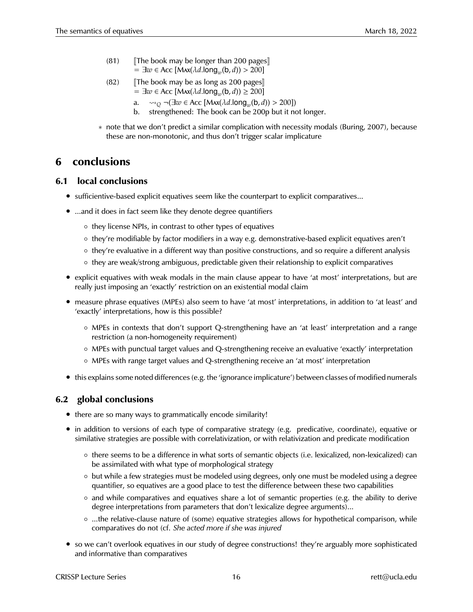- (81)  $\blacksquare$  The book may be longer than 200 pages  $= \exists w \in Acc \left[ Max(\lambda d. long_w(b, d)) > 200 \right]$
- (82) JThe book may be as long as 200 pages  $= \exists w \in Acc \left[ Max(\lambda d. long_w(b, d)) \ge 200 \right]$ 
	- a.  $\sim_Q \neg (\exists w \in Acc \ [\text{Max}(\lambda d. \text{long}_w(b, d)) > 200])$
	- b. strengthened: The book can be 200p but it not longer.
- ∗ note that we don't predict a similar complication with necessity modals (Buring, 2007), because these are non-monotonic, and thus don't trigger scalar implicature

## **6 conclusions**

## **6.1 local conclusions**

- sufficientive-based explicit equatives seem like the counterpart to explicit comparatives...
- ...and it does in fact seem like they denote degree quantifiers
	- they license NPIs, in contrast to other types of equatives
	- they're modifiable by factor modifiers in a way e.g. demonstrative-based explicit equatives aren't
	- they're evaluative in a different way than positive constructions, and so require a different analysis
	- they are weak/strong ambiguous, predictable given their relationship to explicit comparatives
- explicit equatives with weak modals in the main clause appear to have 'at most' interpretations, but are really just imposing an 'exactly' restriction on an existential modal claim
- measure phrase equatives (MPEs) also seem to have 'at most' interpretations, in addition to 'at least' and 'exactly' interpretations, how is this possible?
	- MPEs in contexts that don't support Q-strengthening have an 'at least' interpretation and a range restriction (a non-homogeneity requirement)
	- MPEs with punctual target values and Q-strengthening receive an evaluative 'exactly' interpretation
	- MPEs with range target values and Q-strengthening receive an 'at most' interpretation
- this explains some noted differences (e.g. the 'ignorance implicature') between classes of modified numerals

## **6.2 global conclusions**

- there are so many ways to grammatically encode similarity!
- in addition to versions of each type of comparative strategy (e.g. predicative, coordinate), equative or similative strategies are possible with correlativization, or with relativization and predicate modification
	- there seems to be a difference in what sorts of semantic objects (i.e. lexicalized, non-lexicalized) can be assimilated with what type of morphological strategy
	- but while a few strategies must be modeled using degrees, only one must be modeled using a degree quantifier, so equatives are a good place to test the difference between these two capabilities
	- and while comparatives and equatives share a lot of semantic properties (e.g. the ability to derive degree interpretations from parameters that don't lexicalize degree arguments)...
	- ...the relative-clause nature of (some) equative strategies allows for hypothetical comparison, while comparatives do not (cf. *She acted more if she was injured*
- so we can't overlook equatives in our study of degree constructions! they're arguably more sophisticated and informative than comparatives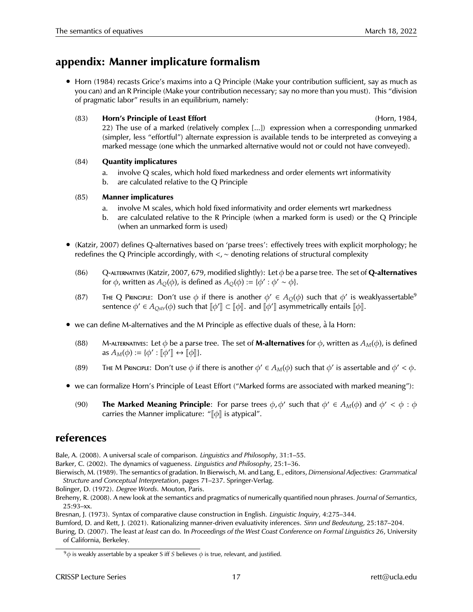## **appendix: Manner implicature formalism**

• Horn (1984) recasts Grice's maxims into a Q Principle (Make your contribution sufficient, say as much as you can) and an R Principle (Make your contribution necessary; say no more than you must). This "division of pragmatic labor" results in an equilibrium, namely:

### (83) **Horn's Principle of Least Effort Hornes 2008 Hornes 2008 Hornes 2008 Hornes 2008 Hornes Hornes Hornes Hornes Hornes Hornes Hornes Hornes Hornes Hornes Hornes Hornes Hornes Hornes**

22) The use of a marked (relatively complex [...]) expression when a corresponding unmarked (simpler, less "effortful") alternate expression is available tends to be interpreted as conveying a marked message (one which the unmarked alternative would not or could not have conveyed).

### (84) **Quantity implicatures**

- a. involve Q scales, which hold fixed markedness and order elements wrt informativity
- b. are calculated relative to the Q Principle

## (85) **Manner implicatures**

- a. involve M scales, which hold fixed informativity and order elements wrt markedness
- b. are calculated relative to the R Principle (when a marked form is used) or the Q Principle (when an unmarked form is used)
- (Katzir, 2007) defines Q-alternatives based on 'parse trees': effectively trees with explicit morphology; he redefines the Q Principle accordingly, with <,∼ denoting relations of structural complexity
	- (86) Q-alternatives (Katzir, 2007, 679, modified slightly): Let φ be a parse tree. The set of **Q-alternatives** for φ, written as  $A_Q(\phi)$ , is defined as  $A_Q(\phi) := \{ \phi' : \phi' \sim \phi \}.$
	- (87) The Q Principle: Don't use  $\phi$  if there is another  $\phi' \in A_Q(\phi)$  such that  $\phi'$  is weaklyassertable<sup>9</sup> sentence  $\phi' \in A_{Qstr}(\phi)$  such that  $[\![\phi']\!] \subset [\![\phi]\!]$ . and  $[\![\phi']\!]$  asymmetrically entails  $[\![\phi]\!]$ .
- we can define M-alternatives and the M Principle as effective duals of these,  $\dot{a}$  la Horn:
	- (88) M-ALTERNATIVES: Let  $\phi$  be a parse tree. The set of **M-alternatives** for  $\phi$ , written as  $A_M(\phi)$ , is defined as  $A_M(\phi) := {\phi' : [\phi'] \leftrightarrow [\phi]].}$
	- (89) THE M PRINCIPLE: Don't use  $\phi$  if there is another  $\phi' \in A_M(\phi)$  such that  $\phi'$  is assertable and  $\phi' < \phi$ .
- we can formalize Horn's Principle of Least Effort ("Marked forms are associated with marked meaning"):
	- (90) **The Marked Meaning Principle**: For parse trees  $\phi$ ,  $\phi'$  such that  $\phi' \in A_M(\phi)$  and  $\phi' < \phi : \phi$ carries the Manner implicature: " $\llbracket \phi \rrbracket$  is atypical".

## **references**

Bale, A. (2008). A universal scale of comparison. *Linguistics and Philosophy*, 31:1–55.

Barker, C. (2002). The dynamics of vagueness. *Linguistics and Philosophy*, 25:1–36.

Bierwisch, M. (1989). The semantics of gradation. In Bierwisch, M. and Lang, E., editors, *Dimensional Adjectives: Grammatical Structure and Conceptual Interpretation*, pages 71–237. Springer-Verlag.

Bolinger, D. (1972). *Degree Words*. Mouton, Paris.

Breheny, R. (2008). A new look at the semantics and pragmatics of numerically quantified noun phrases. *Journal of Semantics*, 25:93–xx.

Bresnan, J. (1973). Syntax of comparative clause construction in English. *Linguistic Inquiry*, 4:275–344.

Bumford, D. and Rett, J. (2021). Rationalizing manner-driven evaluativity inferences. *Sinn und Bedeutung*, 25:187–204.

Buring, D. (2007). The least *at least* can do. In *Proceedings of the West Coast Conference on Formal Linguistics 26*, University of California, Berkeley.

<sup>&</sup>lt;sup>9</sup> $\phi$  is weakly assertable by a speaker S iff *S* believes  $\phi$  is true, relevant, and justified.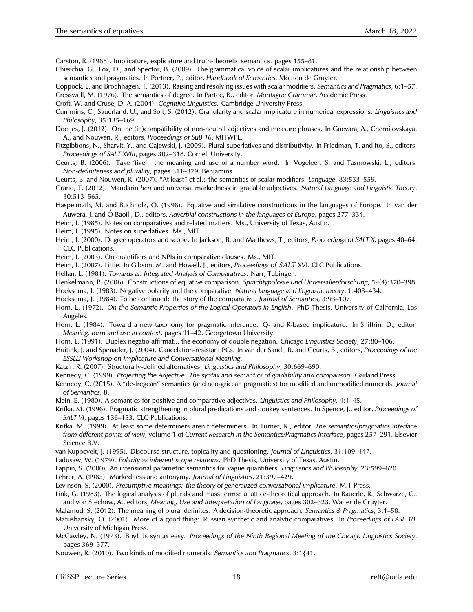Carston, R. (1988). Implicature, explicature and truth-theoretic semantics. pages 155–81.

- Chierchia, G., Fox, D., and Spector, B. (2009). The grammatical voice of scalar implicatures and the relationship between semantics and pragmatics. In Portner, P., editor, *Handbook of Semantics*. Mouton de Gruyter.
- Coppock, E. and Brochhagen, T. (2013). Raising and resolving issues with scalar modifiers. *Semantics and Pragmatics*, 6:1–57.

Cresswell, M. (1976). The semantics of degree. In Partee, B., editor, *Montague Grammar*. Academic Press.

Croft, W. and Cruse, D. A. (2004). *Cognitive Linguistics*. Cambridge University Press.

- Cummins, C., Sauerland, U., and Solt, S. (2012). Granularity and scalar implicature in numerical expressions. *Linguistics and Philosophy*, 35:135–169.
- Doetjes, J. (2012). On the (in)compatibility of non-neutral adjectives and measure phrases. In Guevara, A., Chernilovskaya, A., and Nouwen, R., editors, *Proceedings of SuB 16*. MITWPL.
- Fitzgibbons, N., Sharvit, Y., and Gajewski, J. (2009). Plural superlatives and distributivity. In Friedman, T. and Ito, S., editors, *Proceedings of SALT XVIII*, pages 302–318. Cornell University.
- Geurts, B. (2006). Take 'five': the meaning and use of a number word. In Vogeleer, S. and Tasmowski, L., editors, *Non-definiteness and plurality*, pages 311–329. Benjamins.
- Geurts, B. and Nouwen, R. (2007). "At least" et al.: the semantics of scalar modifiers. *Language*, 83:533–559.
- Grano, T. (2012). Mandarin *hen* and universal markedness in gradable adjectives. *Natural Language and Linguistic Theory*, 30:513–565.
- Haspelmath, M. and Buchholz, O. (1998). Equative and similative constructions in the languages of Europe. In van der Auwera, J. and Ó Baoill, D., editors, *Adverbial constructions in the languages of Europe*, pages 277–334.
- Heim, I. (1985). Notes on comparatives and related matters. Ms., University of Texas, Austin.
- Heim, I. (1995). Notes on superlatives. Ms., MIT.
- Heim, I. (2000). Degree operators and scope. In Jackson, B. and Matthews, T., editors, *Proceedings of SALT X*, pages 40–64. CLC Publications.
- Heim, I. (2003). On quantifiers and NPIs in comparative clauses. Ms., MIT.
- Heim, I. (2007). Little. In Gibson, M. and Howell, J., editors, *Proceedings of SALT* XVI. CLC Publications.
- Hellan, L. (1981). *Towards an Integrated Analysis of Comparatives*. Narr, Tubingen.
- Henkelmann, P. (2006). Constructions of equative comparison. *Sprachtypologie und Universallenforschung*, 59(4):370–398.
- Hoeksema, J. (1983). Negative polarity and the comparative. *Natural language and linguistic theory*, 1:403–434.
- Hoeksema, J. (1984). To be continued: the story of the comparative. *Journal of Semantics*, 3:93–107.
- Horn, L. (1972). *On the Semantic Properties of the Logical Operators in English*. PhD Thesis, University of California, Los Angeles.
- Horn, L. (1984). Toward a new taxonomy for pragmatic inference: Q- and R-based implicature. In Shiffrin, D., editor, *Meaning, form and use in context*, pages 11–42. Georgetown University.
- Horn, L. (1991). Duplex negatio affirmat... the economy of double negation. *Chicago Linguistics Society*, 27:80–106.
- Huitink, J. and Spenader, J. (2004). Cancelation-resistant PCs. In van der Sandt, R. and Geurts, B., editors, *Proceedings of the ESSLLI Workshop on Implicature and Conversational Meaning*.
- Katzir, R. (2007). Structurally-defined alternatives. *Linguistics and Philosophy*, 30:669–690.
- Kennedy, C. (1999). *Projecting the Adjective: The syntax and semantics of gradability and comparison*. Garland Press.
- Kennedy, C. (2015). A "de-fregean" semantics (and neo-gricean pragmatics) for modified and unmodified numerals. *Journal of Semantics*, 8.
- Klein, E. (1980). A semantics for positive and comparative adjectives. *Linguistics and Philosophy*, 4:1–45.
- Krifka, M. (1996). Pragmatic strengthening in plural predications and donkey sentences. In Spence, J., editor, *Proceedings of SALT VI*, pages 136–153. CLC Publications.
- Krifka, M. (1999). At least some determiners aren't determiners. In Turner, K., editor, *The semantics/pragmatics interface from different points of view*, volume 1 of *Current Research in the Semantics/Pragmatics Interface*, pages 257–291. Elsevier Science B.V.
- van Kuppevelt, J. (1995). Discourse structure, topicality and questioning. *Journal of Linguistics*, 31:109–147.
- Ladusaw, W. (1979). *Polarity as inherent scope relations*. PhD Thesis, University of Texas, Austin.
- Lappin, S. (2000). An intensional parametric semantics for vague quantifiers. *Linguistics and Philosophy*, 23:599–620.
- Lehrer, A. (1985). Markedness and antonymy. *Journal of Linguistics*, 21:397–429.
- Levinson, S. (2000). *Presumptive meanings: the theory of generalized conversational implicature*. MIT Press.
- Link, G. (1983). The logical analysis of plurals and mass terms: a lattice-theoretical approach. In Bauerle, R., Schwarze, C., and von Stechow, A., editors, *Meaning, Use and Interpretation of Language*, pages 302–323. Walter de Gruyter.
- Malamud, S. (2012). The meaning of plural definites: A decision-theoretic approach. *Semantics & Pragmatics*, 3:1–58.
- Matushansky, O. (2001). More of a good thing: Russian synthetic and analytic comparatives. In *Proceedings of FASL 10*. University of Michigan Press.
- McCawley, N. (1973). Boy! Is syntax easy. *Proceedings of the Ninth Regional Meeting of the Chicago Linguistics Society*, pages 369–377.
- Nouwen, R. (2010). Two kinds of modified numerals. *Semantics and Pragmatics*, 3:1{41.